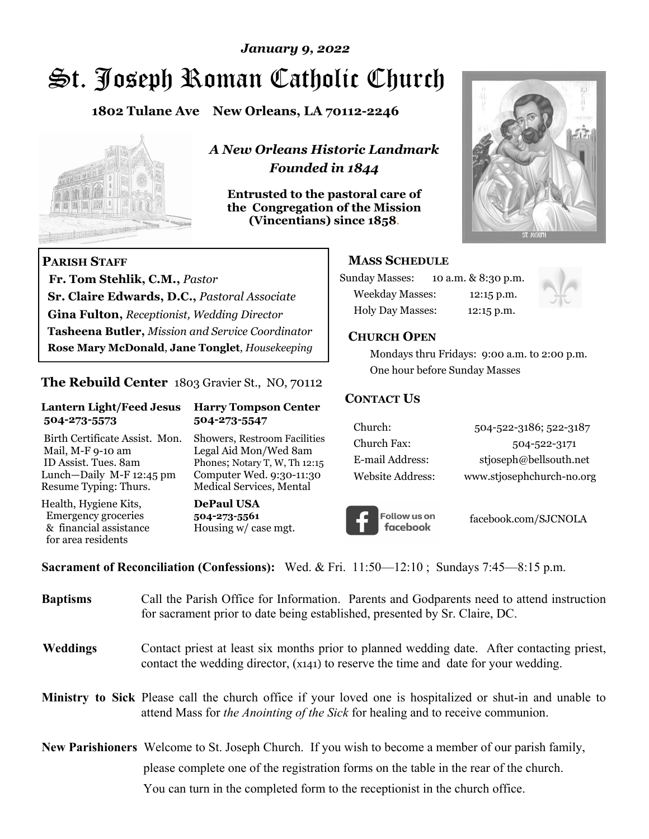# St. Joseph Roman Catholic Church *January 9, 2022*

**1802 Tulane Ave New Orleans, LA 70112-2246**



 **Fr. Tom Stehlik, C.M.,** *Pastor* 

**Sr. Claire Edwards, D.C.,** *Pastoral Associate* **Gina Fulton,** *Receptionist, Wedding Director* 

**Tasheena Butler,** *Mission and Service Coordinator* **Rose Mary McDonald**, **Jane Tonglet**, *Housekeeping*

**The Rebuild Center** 1803 Gravier St., NO, 70112

**Lantern Light/Feed Jesus Harry Tompson Center** 

Birth Certificate Assist. Mon. Showers, Restroom Facilities Mail, M-F 9-10 am Legal Aid Mon/Wed 8am ID Assist. Tues. 8am Phones; Notary T, W, Th 12:15 Lunch—Daily M-F 12:45 pm Computer Wed. 9:30-11:30 Resume Typing: Thurs. Medical Services, Mental

 **504-273-5573 504-273-5547** 

Health, Hygiene Kits, **DePaul USA**  Emergency groceries **504-273-5561** & financial assistance Housing w/ case mgt.

**PARISH STAFF**

for area residents

*A New Orleans Historic Landmark Founded in 1844* 

**Entrusted to the pastoral care of the Congregation of the Mission (Vincentians) since 1858**.



## **MASS SCHEDULE**

| <b>Sunday Masses:</b>  | 10 a.m. & 8:30 p.m. |
|------------------------|---------------------|
| <b>Weekday Masses:</b> | $12:15$ p.m.        |
| Holy Day Masses:       | 12:15 p.m.          |



#### **CHURCH OPEN**

 Mondays thru Fridays: 9:00 a.m. to 2:00 p.m. One hour before Sunday Masses

#### **CONTACT US**

| Church:          | 504-522-3186; 522-3187    |
|------------------|---------------------------|
| Church Fax:      | 504-522-3171              |
| E-mail Address:  | stjoseph@bellsouth.net    |
| Website Address: | www.stjosephchurch-no.org |



facebook.com/SJCNOLA

**Sacrament of Reconciliation (Confessions):** Wed. & Fri. 11:50—12:10 ; Sundays 7:45—8:15 p.m.

| <b>Baptisms</b> | Call the Parish Office for Information. Parents and Godparents need to attend instruction<br>for sacrament prior to date being established, presented by Sr. Claire, DC.                                   |  |
|-----------------|------------------------------------------------------------------------------------------------------------------------------------------------------------------------------------------------------------|--|
| <b>Weddings</b> | Contact priest at least six months prior to planned wedding date. After contacting priest,<br>contact the wedding director, (x141) to reserve the time and date for your wedding.                          |  |
|                 | <b>Ministry to Sick</b> Please call the church office if your loved one is hospitalized or shut-in and unable to<br>attend Mass for <i>the Anointing of the Sick</i> for healing and to receive communion. |  |
|                 | <b>New Parishioners</b> Welcome to St. Joseph Church. If you wish to become a member of our parish family,                                                                                                 |  |
|                 | please complete one of the registration forms on the table in the rear of the church.                                                                                                                      |  |
|                 | You can turn in the completed form to the reception is the church office.                                                                                                                                  |  |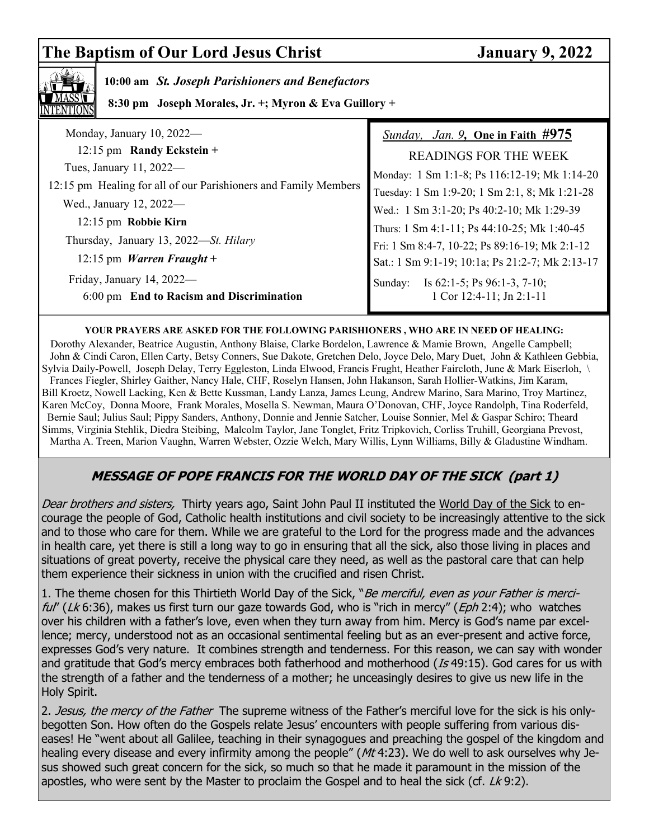# **The Baptism of Our Lord Jesus Christ January 9, 2022**



# **10:00 am** *St. Joseph Parishioners and Benefactors*

 **8:30 pm Joseph Morales, Jr. +; Myron & Eva Guillory +**

| Monday, January 10, 2022-                                       | <i>Sunday, Jan. 9, One in Faith <math>#975</math></i> |
|-----------------------------------------------------------------|-------------------------------------------------------|
| 12:15 pm Randy Eckstein +                                       | <b>READINGS FOR THE WEEK</b>                          |
| Tues, January 11, 2022—                                         | Monday: 1 Sm 1:1-8; Ps 116:12-19; Mk 1:14-20          |
| 12:15 pm Healing for all of our Parishioners and Family Members | Tuesday: 1 Sm 1:9-20; 1 Sm 2:1, 8; Mk 1:21-28         |
| Wed., January 12, 2022-                                         | Wed.: 1 Sm 3:1-20; Ps 40:2-10; Mk 1:29-39             |
| 12:15 pm Robbie Kirn                                            | Thurs: 1 Sm 4:1-11; Ps 44:10-25; Mk 1:40-45           |
| Thursday, January 13, 2022-St. Hilary                           | Fri: 1 Sm 8:4-7, 10-22; Ps 89:16-19; Mk 2:1-12        |
| 12:15 pm <i>Warren Fraught</i> +                                | Sat.: 1 Sm 9:1-19; 10:1a; Ps 21:2-7; Mk 2:13-17       |
| Friday, January 14, 2022-                                       | Is $62:1-5$ ; Ps $96:1-3$ , $7-10$ ;<br>Sunday:       |
| 6:00 pm End to Racism and Discrimination                        | 1 Cor 12:4-11; Jn 2:1-11                              |

#### **YOUR PRAYERS ARE ASKED FOR THE FOLLOWING PARISHIONERS , WHO ARE IN NEED OF HEALING:**

 Dorothy Alexander, Beatrice Augustin, Anthony Blaise, Clarke Bordelon, Lawrence & Mamie Brown, Angelle Campbell; John & Cindi Caron, Ellen Carty, Betsy Conners, Sue Dakote, Gretchen Delo, Joyce Delo, Mary Duet, John & Kathleen Gebbia, Sylvia Daily-Powell, Joseph Delay, Terry Eggleston, Linda Elwood, Francis Frught, Heather Faircloth, June & Mark Eiserloh, \ Frances Fiegler, Shirley Gaither, Nancy Hale, CHF, Roselyn Hansen, John Hakanson, Sarah Hollier-Watkins, Jim Karam, Bill Kroetz, Nowell Lacking, Ken & Bette Kussman, Landy Lanza, James Leung, Andrew Marino, Sara Marino, Troy Martinez, Karen McCoy, Donna Moore, Frank Morales, Mosella S. Newman, Maura O'Donovan, CHF, Joyce Randolph, Tina Roderfeld, Bernie Saul; Julius Saul; Pippy Sanders, Anthony, Donnie and Jennie Satcher, Louise Sonnier, Mel & Gaspar Schiro; Theard Simms, Virginia Stehlik, Diedra Steibing, Malcolm Taylor, Jane Tonglet, Fritz Tripkovich, Corliss Truhill, Georgiana Prevost, Martha A. Treen, Marion Vaughn, Warren Webster, Ozzie Welch, Mary Willis, Lynn Williams, Billy & Gladustine Windham.

# **MESSAGE OF POPE FRANCIS FOR THE WORLD DAY OF THE SICK (part 1)**

Dear brothers and sisters, Thirty years ago, Saint John Paul II instituted the World Day of the Sick to encourage the people of God, Catholic health institutions and civil society to be increasingly attentive to the sick and to those who care for them. While we are grateful to the Lord for the progress made and the advances in health care, yet there is still a long way to go in ensuring that all the sick, also those living in places and situations of great poverty, receive the physical care they need, as well as the pastoral care that can help them experience their sickness in union with the crucified and risen Christ.

1. The theme chosen for this Thirtieth World Day of the Sick, "Be merciful, even as your Father is merciful" (Lk 6:36), makes us first turn our gaze towards God, who is "rich in mercy" (Eph 2:4); who watches over his children with a father's love, even when they turn away from him. Mercy is God's name par excellence; mercy, understood not as an occasional sentimental feeling but as an ever-present and active force, expresses God's very nature. It combines strength and tenderness. For this reason, we can say with wonder and gratitude that God's mercy embraces both fatherhood and motherhood (Is 49:15). God cares for us with the strength of a father and the tenderness of a mother; he unceasingly desires to give us new life in the Holy Spirit.

2. Jesus, the mercy of the Father The supreme witness of the Father's merciful love for the sick is his onlybegotten Son. How often do the Gospels relate Jesus' encounters with people suffering from various diseases! He "went about all Galilee, teaching in their synagogues and preaching the gospel of the kingdom and healing every disease and every infirmity among the people" ( $Mt$  4:23). We do well to ask ourselves why Jesus showed such great concern for the sick, so much so that he made it paramount in the mission of the apostles, who were sent by the Master to proclaim the Gospel and to heal the sick (cf.  $Lk$  9:2).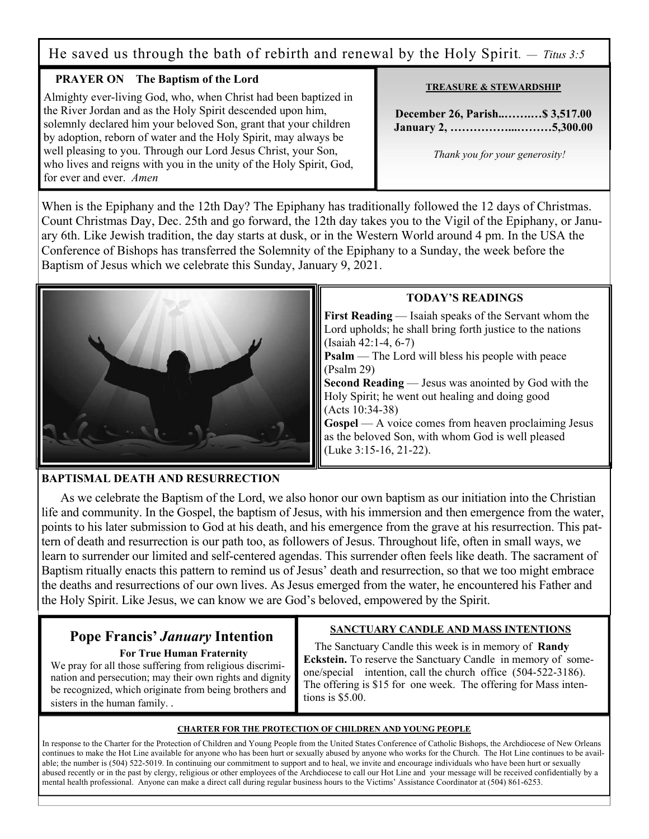He saved us through the bath of rebirth and renewal by the Holy Spirit. *— Titus 3:5*

## **PRAYER ON The Baptism of the Lord**

Almighty ever-living God, who, when Christ had been baptized in the River Jordan and as the Holy Spirit descended upon him, solemnly declared him your beloved Son, grant that your children by adoption, reborn of water and the Holy Spirit, may always be well pleasing to you. Through our Lord Jesus Christ, your Son, who lives and reigns with you in the unity of the Holy Spirit, God, for ever and ever. *Amen* 

#### **TREASURE & STEWARDSHIP**

**December 26, Parish..…….…\$ 3,517.00 January 2, ……………...………5,300.00** 

 *Thank you for your generosity!* 

When is the Epiphany and the 12th Day? The Epiphany has traditionally followed the 12 days of Christmas. Count Christmas Day, Dec. 25th and go forward, the 12th day takes you to the Vigil of the Epiphany, or January 6th. Like Jewish tradition, the day starts at dusk, or in the Western World around 4 pm. In the USA the Conference of Bishops has transferred the Solemnity of the Epiphany to a Sunday, the week before the Baptism of Jesus which we celebrate this Sunday, January 9, 2021.



## **BAPTISMAL DEATH AND RESURRECTION**

 As we celebrate the Baptism of the Lord, we also honor our own baptism as our initiation into the Christian life and community. In the Gospel, the baptism of Jesus, with his immersion and then emergence from the water, points to his later submission to God at his death, and his emergence from the grave at his resurrection. This pattern of death and resurrection is our path too, as followers of Jesus. Throughout life, often in small ways, we learn to surrender our limited and self-centered agendas. This surrender often feels like death. The sacrament of Baptism ritually enacts this pattern to remind us of Jesus' death and resurrection, so that we too might embrace the deaths and resurrections of our own lives. As Jesus emerged from the water, he encountered his Father and the Holy Spirit. Like Jesus, we can know we are God's beloved, empowered by the Spirit.

# **Pope Francis'** *January* **Intention**

 **For True Human Fraternity**

We pray for all those suffering from religious discrimination and persecution; may their own rights and dignity be recognized, which originate from being brothers and sisters in the human family. .

# **SANCTUARY CANDLE AND MASS INTENTIONS**

 The Sanctuary Candle this week is in memory of **Randy Eckstein.** To reserve the Sanctuary Candle in memory of someone/special intention, call the church office (504-522-3186). The offering is \$15 for one week. The offering for Mass intentions is \$5.00.

#### **CHARTER FOR THE PROTECTION OF CHILDREN AND YOUNG PEOPLE**

In response to the Charter for the Protection of Children and Young People from the United States Conference of Catholic Bishops, the Archdiocese of New Orleans continues to make the Hot Line available for anyone who has been hurt or sexually abused by anyone who works for the Church. The Hot Line continues to be available; the number is (504) 522-5019. In continuing our commitment to support and to heal, we invite and encourage individuals who have been hurt or sexually abused recently or in the past by clergy, religious or other employees of the Archdiocese to call our Hot Line and your message will be received confidentially by a mental health professional. Anyone can make a direct call during regular business hours to the Victims' Assistance Coordinator at (504) 861-6253.